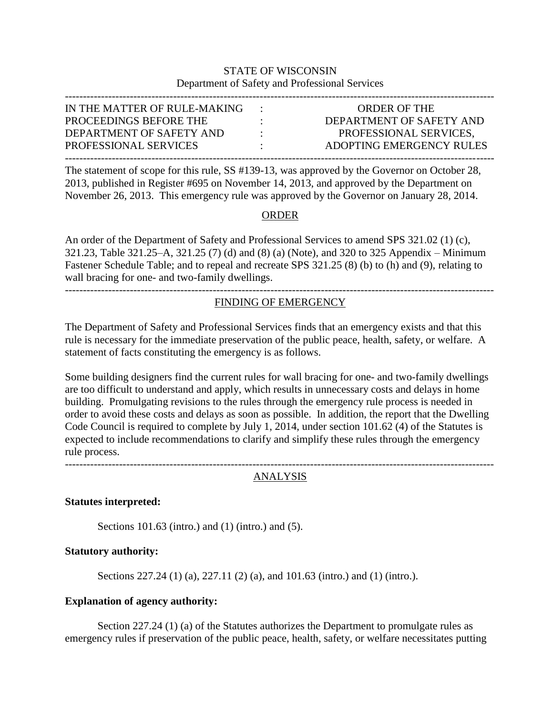# STATE OF WISCONSIN Department of Safety and Professional Services

| IN THE MATTER OF RULE-MAKING |           | <b>ORDER OF THE</b>      |
|------------------------------|-----------|--------------------------|
| PROCEEDINGS BEFORE THE       | $\cdot$   | DEPARTMENT OF SAFETY AND |
| DEPARTMENT OF SAFETY AND     | $\bullet$ | PROFESSIONAL SERVICES.   |
| PROFESSIONAL SERVICES        | ٠.        | ADOPTING EMERGENCY RULES |
|                              |           |                          |

The statement of scope for this rule, SS #139-13, was approved by the Governor on October 28, 2013, published in Register #695 on November 14, 2013, and approved by the Department on November 26, 2013. This emergency rule was approved by the Governor on January 28, 2014.

# ORDER

An order of the Department of Safety and Professional Services to amend SPS 321.02 (1) (c), 321.23, Table 321.25–A, 321.25 (7) (d) and (8) (a) (Note), and 320 to 325 Appendix – Minimum Fastener Schedule Table; and to repeal and recreate SPS 321.25 (8) (b) to (h) and (9), relating to wall bracing for one- and two-family dwellings.

# -----------------------------------------------------------------------------------------------------------------------

# FINDING OF EMERGENCY

The Department of Safety and Professional Services finds that an emergency exists and that this rule is necessary for the immediate preservation of the public peace, health, safety, or welfare. A statement of facts constituting the emergency is as follows.

Some building designers find the current rules for wall bracing for one- and two-family dwellings are too difficult to understand and apply, which results in unnecessary costs and delays in home building. Promulgating revisions to the rules through the emergency rule process is needed in order to avoid these costs and delays as soon as possible. In addition, the report that the Dwelling Code Council is required to complete by July 1, 2014, under section 101.62 (4) of the Statutes is expected to include recommendations to clarify and simplify these rules through the emergency rule process.

-----------------------------------------------------------------------------------------------------------------------

# ANALYSIS

#### **Statutes interpreted:**

Sections 101.63 (intro.) and (1) (intro.) and (5).

#### **Statutory authority:**

Sections 227.24 (1) (a), 227.11 (2) (a), and 101.63 (intro.) and (1) (intro.).

#### **Explanation of agency authority:**

Section 227.24 (1) (a) of the Statutes authorizes the Department to promulgate rules as emergency rules if preservation of the public peace, health, safety, or welfare necessitates putting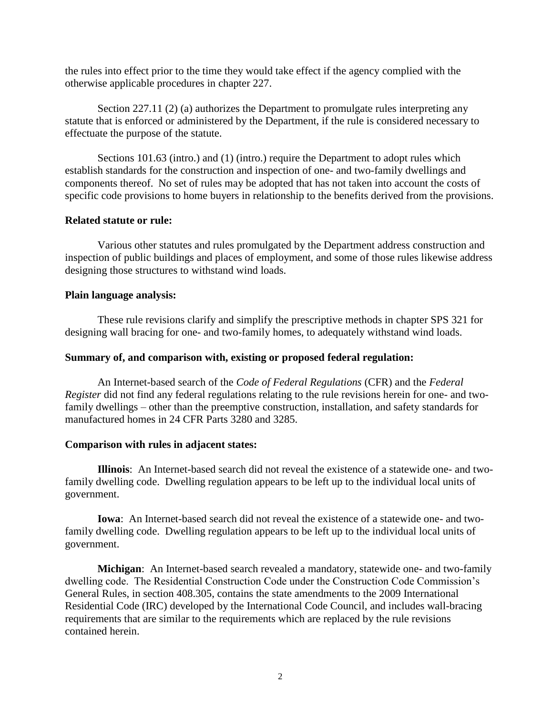the rules into effect prior to the time they would take effect if the agency complied with the otherwise applicable procedures in chapter 227.

Section 227.11 (2) (a) authorizes the Department to promulgate rules interpreting any statute that is enforced or administered by the Department, if the rule is considered necessary to effectuate the purpose of the statute.

Sections 101.63 (intro.) and (1) (intro.) require the Department to adopt rules which establish standards for the construction and inspection of one- and two-family dwellings and components thereof. No set of rules may be adopted that has not taken into account the costs of specific code provisions to home buyers in relationship to the benefits derived from the provisions.

### **Related statute or rule:**

Various other statutes and rules promulgated by the Department address construction and inspection of public buildings and places of employment, and some of those rules likewise address designing those structures to withstand wind loads.

### **Plain language analysis:**

These rule revisions clarify and simplify the prescriptive methods in chapter SPS 321 for designing wall bracing for one- and two-family homes, to adequately withstand wind loads.

### **Summary of, and comparison with, existing or proposed federal regulation:**

An Internet-based search of the *Code of Federal Regulations* (CFR) and the *Federal Register* did not find any federal regulations relating to the rule revisions herein for one- and twofamily dwellings – other than the preemptive construction, installation, and safety standards for manufactured homes in 24 CFR Parts 3280 and 3285.

#### **Comparison with rules in adjacent states:**

**Illinois**: An Internet-based search did not reveal the existence of a statewide one- and twofamily dwelling code. Dwelling regulation appears to be left up to the individual local units of government.

**Iowa**: An Internet-based search did not reveal the existence of a statewide one- and twofamily dwelling code. Dwelling regulation appears to be left up to the individual local units of government.

**Michigan**: An Internet-based search revealed a mandatory, statewide one- and two-family dwelling code. The Residential Construction Code under the Construction Code Commission's General Rules, in section 408.305, contains the state amendments to the 2009 International Residential Code (IRC) developed by the International Code Council, and includes wall-bracing requirements that are similar to the requirements which are replaced by the rule revisions contained herein.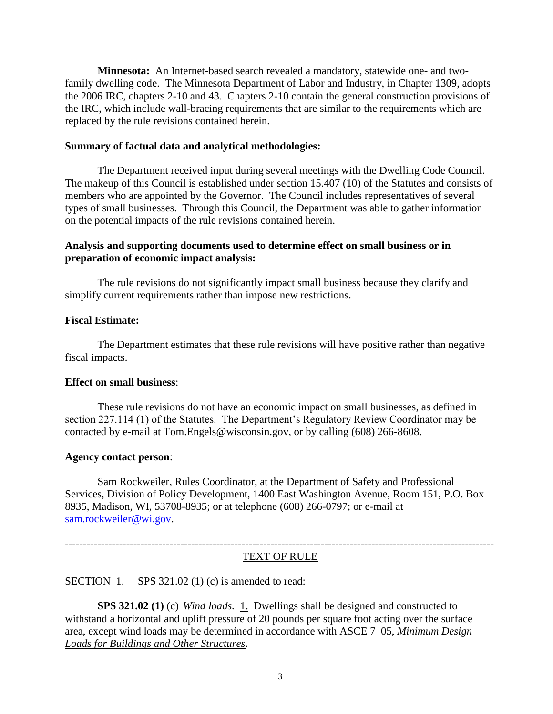**Minnesota:** An Internet-based search revealed a mandatory, statewide one- and twofamily dwelling code. The Minnesota Department of Labor and Industry, in Chapter 1309, adopts the 2006 IRC, chapters 2-10 and 43. Chapters 2-10 contain the general construction provisions of the IRC, which include wall-bracing requirements that are similar to the requirements which are replaced by the rule revisions contained herein.

## **Summary of factual data and analytical methodologies:**

The Department received input during several meetings with the Dwelling Code Council. The makeup of this Council is established under section 15.407 (10) of the Statutes and consists of members who are appointed by the Governor. The Council includes representatives of several types of small businesses. Through this Council, the Department was able to gather information on the potential impacts of the rule revisions contained herein.

# **Analysis and supporting documents used to determine effect on small business or in preparation of economic impact analysis:**

The rule revisions do not significantly impact small business because they clarify and simplify current requirements rather than impose new restrictions.

### **Fiscal Estimate:**

The Department estimates that these rule revisions will have positive rather than negative fiscal impacts.

# **Effect on small business**:

These rule revisions do not have an economic impact on small businesses, as defined in section 227.114 (1) of the Statutes. The Department's Regulatory Review Coordinator may be contacted by e-mail at Tom.Engels@wisconsin.gov, or by calling (608) 266-8608.

#### **Agency contact person**:

Sam Rockweiler, Rules Coordinator, at the Department of Safety and Professional Services, Division of Policy Development, 1400 East Washington Avenue, Room 151, P.O. Box 8935, Madison, WI, 53708-8935; or at telephone (608) 266-0797; or e-mail at [sam.rockweiler@wi.gov.](mailto:sam.rockweiler@wi.gov)

## -----------------------------------------------------------------------------------------------------------------------

# TEXT OF RULE

SECTION 1. SPS 321.02 (1) (c) is amended to read:

**SPS 321.02 (1)** (c) *Wind loads.* 1. Dwellings shall be designed and constructed to withstand a horizontal and uplift pressure of 20 pounds per square foot acting over the surface area, except wind loads may be determined in accordance with ASCE 7–05, *Minimum Design Loads for Buildings and Other Structures*.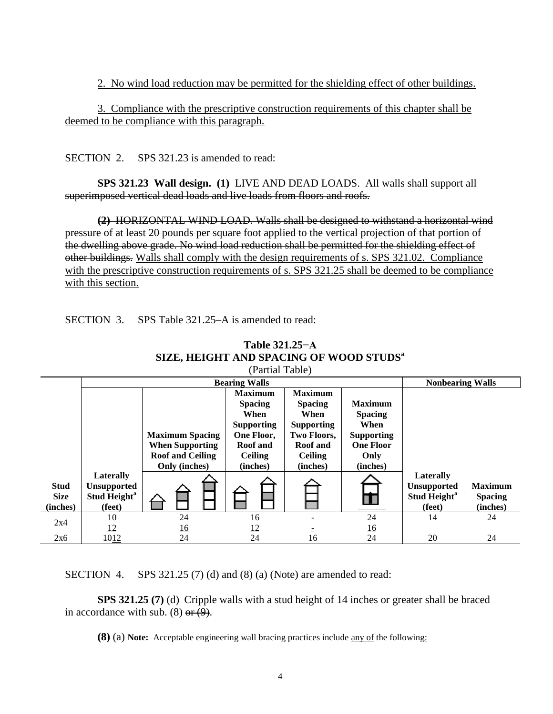2. No wind load reduction may be permitted for the shielding effect of other buildings.

3. Compliance with the prescriptive construction requirements of this chapter shall be deemed to be compliance with this paragraph.

SECTION 2. SPS 321.23 is amended to read:

**SPS 321.23 Wall design. (1)** LIVE AND DEAD LOADS. All walls shall support all superimposed vertical dead loads and live loads from floors and roofs.

**(2)** HORIZONTAL WIND LOAD. Walls shall be designed to withstand a horizontal wind pressure of at least 20 pounds per square foot applied to the vertical projection of that portion of the dwelling above grade. No wind load reduction shall be permitted for the shielding effect of other buildings. Walls shall comply with the design requirements of s. SPS 321.02. Compliance with the prescriptive construction requirements of s. SPS 321.25 shall be deemed to be compliance with this section.

SECTION 3. SPS Table 321.25–A is amended to read:

| Partial Table)                         |                                                          |                         |                                          |                                          |                                  |                                                          |                                              |  |  |
|----------------------------------------|----------------------------------------------------------|-------------------------|------------------------------------------|------------------------------------------|----------------------------------|----------------------------------------------------------|----------------------------------------------|--|--|
|                                        |                                                          |                         |                                          | <b>Nonbearing Walls</b>                  |                                  |                                                          |                                              |  |  |
|                                        |                                                          |                         | <b>Maximum</b><br><b>Spacing</b><br>When | <b>Maximum</b><br><b>Spacing</b><br>When | <b>Maximum</b><br><b>Spacing</b> |                                                          |                                              |  |  |
|                                        |                                                          | <b>Maximum Spacing</b>  | <b>Supporting</b><br>One Floor,          | <b>Supporting</b><br>Two Floors,         | When<br><b>Supporting</b>        |                                                          |                                              |  |  |
|                                        |                                                          | <b>When Supporting</b>  | <b>Roof</b> and                          | <b>Roof</b> and                          | <b>One Floor</b>                 |                                                          |                                              |  |  |
|                                        |                                                          | <b>Roof and Ceiling</b> | <b>Ceiling</b>                           | <b>Ceiling</b>                           | Only                             |                                                          |                                              |  |  |
|                                        | Laterally                                                | Only (inches)           | (inches)                                 | (inches)                                 | (inches)                         | Laterally                                                |                                              |  |  |
| <b>Stud</b><br><b>Size</b><br>(inches) | <b>Unsupported</b><br>Stud Height <sup>a</sup><br>(feet) |                         |                                          |                                          |                                  | <b>Unsupported</b><br>Stud Height <sup>a</sup><br>(feet) | <b>Maximum</b><br><b>Spacing</b><br>(inches) |  |  |
|                                        | 10                                                       | 24                      | 16                                       |                                          | 24                               | 14                                                       | 24                                           |  |  |
| 2x4                                    | $\frac{12}{1}$                                           | <u>16</u>               | 12                                       |                                          | <u>16</u>                        |                                                          |                                              |  |  |
| 2x6                                    | 1012                                                     | 24                      | 24                                       | 16                                       | 24                               | 20                                                       | 24                                           |  |  |

**Table 321.25−A SIZE, HEIGHT AND SPACING OF WOOD STUDS<sup>a</sup>**  $(D<sub>ortio</sub>1$  Table)

SECTION 4. SPS 321.25 (7) (d) and (8) (a) (Note) are amended to read:

**SPS 321.25 (7)** (d) Cripple walls with a stud height of 14 inches or greater shall be braced in accordance with sub.  $(8)$  or  $(9)$ .

**(8)** (a) **Note:** Acceptable engineering wall bracing practices include any of the following: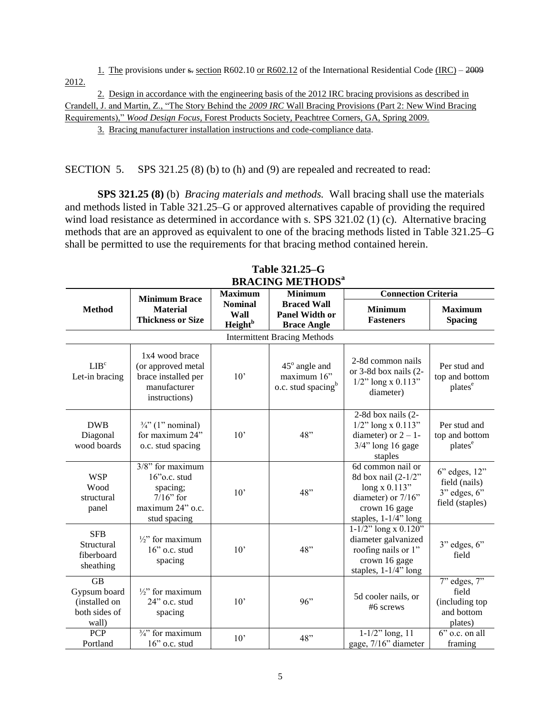1. The provisions under  $s$ - section R602.10 or R602.12 of the International Residential Code (IRC) – 2009 2012.

2. Design in accordance with the engineering basis of the 2012 IRC bracing provisions as described in Crandell, J. and Martin, Z., "The Story Behind the *2009 IRC* Wall Bracing Provisions (Part 2: New Wind Bracing Requirements)," *Wood Design Focus*, Forest Products Society, Peachtree Corners, GA, Spring 2009.

3. Bracing manufacturer installation instructions and code-compliance data.

SECTION 5. SPS 321.25 (8) (b) to (h) and (9) are repealed and recreated to read:

**SPS 321.25 (8)** (b) *Bracing materials and methods.* Wall bracing shall use the materials and methods listed in Table 321.25–G or approved alternatives capable of providing the required wind load resistance as determined in accordance with s. SPS 321.02 (1) (c). Alternative bracing methods that are an approved as equivalent to one of the bracing methods listed in Table 321.25–G shall be permitted to use the requirements for that bracing method contained herein.

| DIVACTIJA MIETIJANO                                                  |                                                                                                        |                                                      |                                                                   |                                                                                                                               |                                                                             |  |  |  |  |  |
|----------------------------------------------------------------------|--------------------------------------------------------------------------------------------------------|------------------------------------------------------|-------------------------------------------------------------------|-------------------------------------------------------------------------------------------------------------------------------|-----------------------------------------------------------------------------|--|--|--|--|--|
|                                                                      | <b>Minimum Brace</b>                                                                                   | <b>Maximum</b>                                       | <b>Minimum</b>                                                    | <b>Connection Criteria</b>                                                                                                    |                                                                             |  |  |  |  |  |
| <b>Method</b>                                                        | <b>Material</b><br><b>Thickness or Size</b>                                                            | <b>Nominal</b><br>Wall<br><b>Height</b> <sup>b</sup> | <b>Braced Wall</b><br><b>Panel Width or</b><br><b>Brace Angle</b> | <b>Minimum</b><br><b>Fasteners</b>                                                                                            | <b>Maximum</b><br><b>Spacing</b>                                            |  |  |  |  |  |
|                                                                      |                                                                                                        |                                                      | <b>Intermittent Bracing Methods</b>                               |                                                                                                                               |                                                                             |  |  |  |  |  |
| LIB <sup>c</sup><br>Let-in bracing                                   | 1x4 wood brace<br>(or approved metal<br>brace installed per<br>manufacturer<br>instructions)           | 10'                                                  | 45° angle and<br>maximum 16"<br>o.c. stud spacing <sup>b</sup>    | 2-8d common nails<br>or 3-8d box nails (2-<br>$1/2$ " long x 0.113"<br>diameter)                                              | Per stud and<br>top and bottom<br>plates <sup>e</sup>                       |  |  |  |  |  |
| <b>DWB</b><br>Diagonal<br>wood boards                                | $\frac{3}{4}$ " (1" nominal)<br>for maximum 24"<br>o.c. stud spacing                                   | $10^{\circ}$                                         | 48"                                                               | 2-8d box nails (2-<br>$1/2$ " long x 0.113"<br>diameter) or $2 - 1$ -<br>$3/4$ " long 16 gage<br>staples                      | Per stud and<br>top and bottom<br>plates <sup>e</sup>                       |  |  |  |  |  |
| <b>WSP</b><br>Wood<br>structural<br>panel                            | $3/8$ " for maximum<br>$16$ "o.c. stud<br>spacing;<br>$7/16$ " for<br>maximum 24" o.c.<br>stud spacing | 10'                                                  | 48"                                                               | 6d common nail or<br>8d box nail (2-1/2"<br>long $x$ 0.113"<br>diameter) or 7/16"<br>crown 16 gage<br>staples, $1-1/4$ " long | $6$ " edges, $12$ "<br>field (nails)<br>$3"$ edges, $6"$<br>field (staples) |  |  |  |  |  |
| <b>SFB</b><br>Structural<br>fiberboard<br>sheathing                  | $\frac{1}{2}$ for maximum<br>16" o.c. stud<br>spacing                                                  | 10'                                                  | 48"                                                               | $1-1/2$ " long x 0.120"<br>diameter galvanized<br>roofing nails or 1"<br>crown 16 gage<br>staples, 1-1/4" long                | $3"$ edges, $6"$<br>field                                                   |  |  |  |  |  |
| <b>GB</b><br>Gypsum board<br>(installed on<br>both sides of<br>wall) | $\frac{1}{2}$ " for maximum<br>24" o.c. stud<br>spacing                                                | 10'                                                  | 96"                                                               | 5d cooler nails, or<br>#6 screws                                                                                              | $7"$ edges, $7"$<br>field<br>(including top<br>and bottom<br>plates)        |  |  |  |  |  |
| PCP<br>Portland                                                      | $\frac{3}{4}$ " for maximum<br>16" o.c. stud                                                           | 10'                                                  | 48"                                                               | $1 - 1/2$ " long, 11<br>gage, 7/16" diameter                                                                                  | $6"$ o.c. on all<br>framing                                                 |  |  |  |  |  |

**Table 321.25–G BRACING METHODS<sup>a</sup>**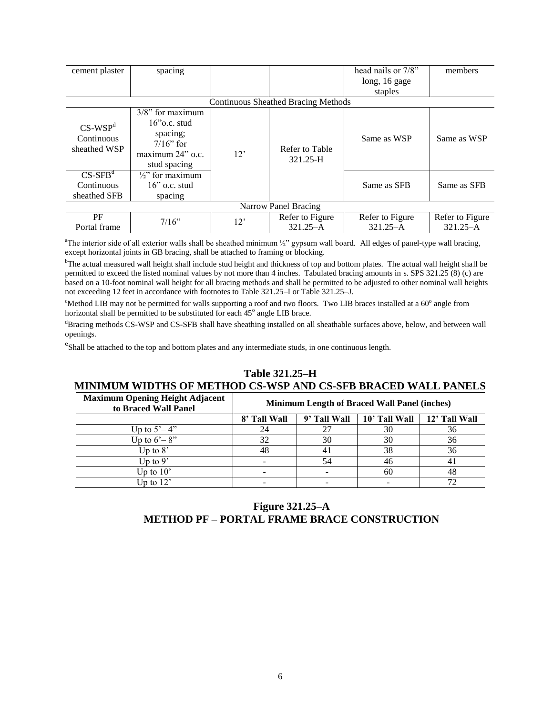| cement plaster                                       | spacing                                                                                                |     |                                     | head nails or 7/8"<br>long, 16 gage<br>staples | members                         |
|------------------------------------------------------|--------------------------------------------------------------------------------------------------------|-----|-------------------------------------|------------------------------------------------|---------------------------------|
|                                                      |                                                                                                        |     | Continuous Sheathed Bracing Methods |                                                |                                 |
| $CS-WSPd$<br>Continuous<br>sheathed WSP              | $3/8$ " for maximum<br>$16$ "o.c. stud<br>spacing;<br>$7/16$ " for<br>maximum 24" o.c.<br>stud spacing | 12' | Refer to Table<br>321.25-H          | Same as WSP                                    | Same as WSP                     |
| $CS$ -SFB <sup>d</sup><br>Continuous<br>sheathed SFB | $\frac{1}{2}$ for maximum<br>$16$ " o.c. stud<br>spacing                                               |     |                                     | Same as SFB                                    | Same as SFB                     |
|                                                      |                                                                                                        |     | Narrow Panel Bracing                |                                                |                                 |
| PF<br>Portal frame                                   | $7/16$ "                                                                                               | 12' | Refer to Figure<br>$321.25 - A$     | Refer to Figure<br>$321.25 - A$                | Refer to Figure<br>$321.25 - A$ |

<sup>a</sup>The interior side of all exterior walls shall be sheathed minimum  $\frac{1}{2}$ " gypsum wall board. All edges of panel-type wall bracing, except horizontal joints in GB bracing, shall be attached to framing or blocking.

<sup>b</sup>The actual measured wall height shall include stud height and thickness of top and bottom plates. The actual wall height shall be permitted to exceed the listed nominal values by not more than 4 inches. Tabulated bracing amounts in s. SPS 321.25 (8) (c) are based on a 10-foot nominal wall height for all bracing methods and shall be permitted to be adjusted to other nominal wall heights not exceeding 12 feet in accordance with footnotes to Table 321.25–I or Table 321.25–J.

 $c<sup>th</sup>$ Method LIB may not be permitted for walls supporting a roof and two floors. Two LIB braces installed at a 60 $<sup>o</sup>$  angle from</sup> horizontal shall be permitted to be substituted for each  $45^{\circ}$  angle LIB brace.

<sup>d</sup>Bracing methods CS-WSP and CS-SFB shall have sheathing installed on all sheathable surfaces above, below, and between wall openings.

<sup>e</sup>Shall be attached to the top and bottom plates and any intermediate studs, in one continuous length.

#### **Table 321.25–H MINIMUM WIDTHS OF METHOD CS-WSP AND CS-SFB BRACED WALL PANELS**

| <b>Maximum Opening Height Adjacent</b><br>to Braced Wall Panel |              |              | <b>Minimum Length of Braced Wall Panel (inches)</b> |               |
|----------------------------------------------------------------|--------------|--------------|-----------------------------------------------------|---------------|
|                                                                | 8' Tall Wall | 9' Tall Wall | 10' Tall Wall                                       | 12' Tall Wall |
| Up to $5^\circ - 4$ "                                          | 24           |              | 30                                                  | 36            |
| Up to $6'-8$ "                                                 | 32           | 30           | 30                                                  | 36            |
| Up to $8^\circ$                                                | 48           | 41           | 38                                                  | 36            |
| Up to $9'$                                                     |              | 54           | 46                                                  | 41            |
| Up to $10^{\circ}$                                             |              |              | 60                                                  | 48            |
| Up to $12$ '                                                   |              |              |                                                     |               |

# **Figure 321.25–A METHOD PF – PORTAL FRAME BRACE CONSTRUCTION**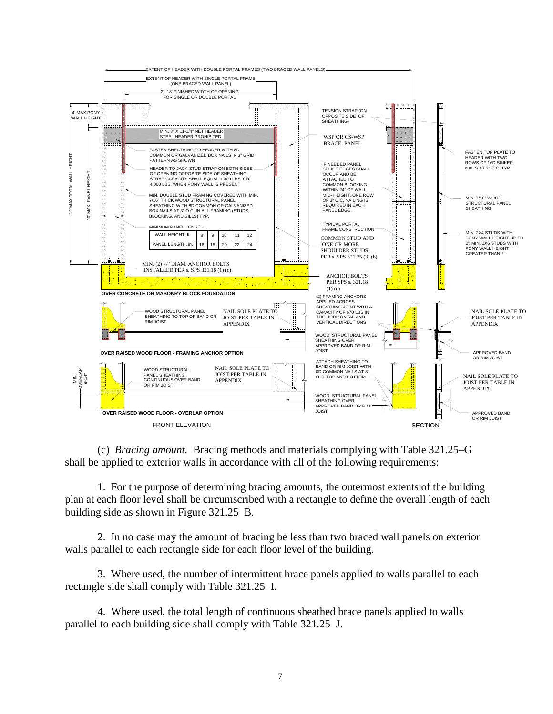

(c) *Bracing amount.* Bracing methods and materials complying with Table 321.25–G shall be applied to exterior walls in accordance with all of the following requirements:

1. For the purpose of determining bracing amounts, the outermost extents of the building plan at each floor level shall be circumscribed with a rectangle to define the overall length of each building side as shown in Figure 321.25–B.

2. In no case may the amount of bracing be less than two braced wall panels on exterior walls parallel to each rectangle side for each floor level of the building.

3. Where used, the number of intermittent brace panels applied to walls parallel to each rectangle side shall comply with Table 321.25–I.

4. Where used, the total length of continuous sheathed brace panels applied to walls parallel to each building side shall comply with Table 321.25–J.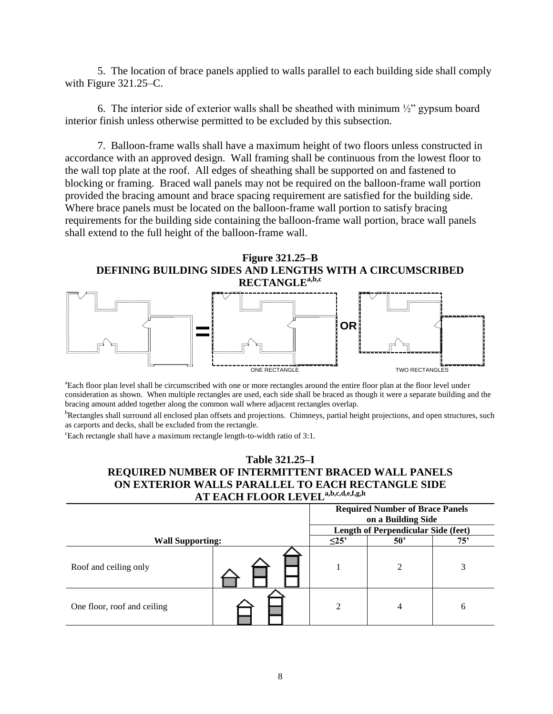5. The location of brace panels applied to walls parallel to each building side shall comply with Figure 321.25–C.

6. The interior side of exterior walls shall be sheathed with minimum  $\frac{1}{2}$  gypsum board interior finish unless otherwise permitted to be excluded by this subsection.

7. Balloon-frame walls shall have a maximum height of two floors unless constructed in accordance with an approved design. Wall framing shall be continuous from the lowest floor to the wall top plate at the roof. All edges of sheathing shall be supported on and fastened to blocking or framing. Braced wall panels may not be required on the balloon-frame wall portion provided the bracing amount and brace spacing requirement are satisfied for the building side. Where brace panels must be located on the balloon-frame wall portion to satisfy bracing requirements for the building side containing the balloon-frame wall portion, brace wall panels shall extend to the full height of the balloon-frame wall.

**Figure 321.25–B DEFINING BUILDING SIDES AND LENGTHS WITH A CIRCUMSCRIBED** 



<sup>a</sup>Each floor plan level shall be circumscribed with one or more rectangles around the entire floor plan at the floor level under consideration as shown. When multiple rectangles are used, each side shall be braced as though it were a separate building and the bracing amount added together along the common wall where adjacent rectangles overlap.

<sup>b</sup>Rectangles shall surround all enclosed plan offsets and projections. Chimneys, partial height projections, and open structures, such as carports and decks, shall be excluded from the rectangle.

<sup>c</sup>Each rectangle shall have a maximum rectangle length-to-width ratio of 3:1.

## **Table 321.25–I REQUIRED NUMBER OF INTERMITTENT BRACED WALL PANELS ON EXTERIOR WALLS PARALLEL TO EACH RECTANGLE SIDE AT EACH FLOOR LEVELa,b,c,d,e,f,g,h**

|                             | <b>Required Number of Brace Panels</b><br>on a Building Side |            |                                     |     |  |
|-----------------------------|--------------------------------------------------------------|------------|-------------------------------------|-----|--|
|                             |                                                              |            | Length of Perpendicular Side (feet) |     |  |
| <b>Wall Supporting:</b>     |                                                              | $\leq$ 25' | $50^{\circ}$                        | 75' |  |
| Roof and ceiling only       |                                                              |            | $\mathfrak{D}$                      |     |  |
| One floor, roof and ceiling |                                                              | ◠          | 4                                   | 6   |  |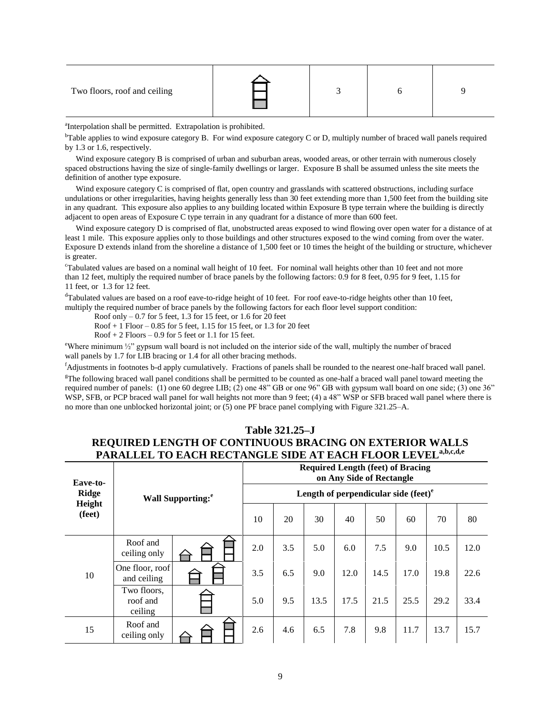| Two floors, roof and ceiling |  |  |  |  |
|------------------------------|--|--|--|--|
|------------------------------|--|--|--|--|

<sup>a</sup>Interpolation shall be permitted. Extrapolation is prohibited.

 $b$ Table applies to wind exposure category B. For wind exposure category C or D, multiply number of braced wall panels required by 1.3 or 1.6, respectively.

Wind exposure category B is comprised of urban and suburban areas, wooded areas, or other terrain with numerous closely spaced obstructions having the size of single-family dwellings or larger. Exposure B shall be assumed unless the site meets the definition of another type exposure.

Wind exposure category C is comprised of flat, open country and grasslands with scattered obstructions, including surface undulations or other irregularities, having heights generally less than 30 feet extending more than 1,500 feet from the building site in any quadrant. This exposure also applies to any building located within Exposure B type terrain where the building is directly adjacent to open areas of Exposure C type terrain in any quadrant for a distance of more than 600 feet.

Wind exposure category D is comprised of flat, unobstructed areas exposed to wind flowing over open water for a distance of at least 1 mile. This exposure applies only to those buildings and other structures exposed to the wind coming from over the water. Exposure D extends inland from the shoreline a distance of 1,500 feet or 10 times the height of the building or structure, whichever is greater.

<sup>c</sup>Tabulated values are based on a nominal wall height of 10 feet. For nominal wall heights other than 10 feet and not more than 12 feet, multiply the required number of brace panels by the following factors: 0.9 for 8 feet, 0.95 for 9 feet, 1.15 for 11 feet, or 1.3 for 12 feet.

<sup>d</sup>Tabulated values are based on a roof eave-to-ridge height of 10 feet. For roof eave-to-ridge heights other than 10 feet, multiply the required number of brace panels by the following factors for each floor level support condition:

Roof only – 0.7 for 5 feet, 1.3 for 15 feet, or 1.6 for 20 feet

Roof + 1 Floor – 0.85 for 5 feet, 1.15 for 15 feet, or 1.3 for 20 feet

 $Root + 2$  Floors  $-0.9$  for 5 feet or 1.1 for 15 feet.

<sup>e</sup>Where minimum ½" gypsum wall board is not included on the interior side of the wall, multiply the number of braced wall panels by 1.7 for LIB bracing or 1.4 for all other bracing methods.

<sup>f</sup>Adjustments in footnotes b-d apply cumulatively. Fractions of panels shall be rounded to the nearest one-half braced wall panel.

 $\epsilon$ The following braced wall panel conditions shall be permitted to be counted as one-half a braced wall panel toward meeting the required number of panels: (1) one 60 degree LIB; (2) one 48" GB or one 96" GB with gypsum wall board on one side; (3) one 36" WSP, SFB, or PCP braced wall panel for wall heights not more than 9 feet; (4) a 48" WSP or SFB braced wall panel where there is no more than one unblocked horizontal joint; or (5) one PF brace panel complying with Figure 321.25–A.

# **Table 321.25–J REQUIRED LENGTH OF CONTINUOUS BRACING ON EXTERIOR WALLS PARALLEL TO EACH RECTANGLE SIDE AT EACH FLOOR LEVELa,b,c,d,e**

| Eave-to-<br>Ridge<br>Height<br>(feet) | <b>Wall Supporting:</b> <sup>e</sup> |  | <b>Required Length (feet) of Bracing</b><br>on Any Side of Rectangle |     |      |      |      |      |      |      |  |
|---------------------------------------|--------------------------------------|--|----------------------------------------------------------------------|-----|------|------|------|------|------|------|--|
|                                       |                                      |  | Length of perpendicular side (feet) $e$                              |     |      |      |      |      |      |      |  |
|                                       |                                      |  | 10                                                                   | 20  | 30   | 40   | 50   | 60   | 70   | 80   |  |
|                                       | Roof and<br>ceiling only             |  | 2.0                                                                  | 3.5 | 5.0  | 6.0  | 7.5  | 9.0  | 10.5 | 12.0 |  |
| 10                                    | One floor, roof<br>and ceiling       |  | 3.5                                                                  | 6.5 | 9.0  | 12.0 | 14.5 | 17.0 | 19.8 | 22.6 |  |
|                                       | Two floors,<br>roof and<br>ceiling   |  | 5.0                                                                  | 9.5 | 13.5 | 17.5 | 21.5 | 25.5 | 29.2 | 33.4 |  |
| 15                                    | Roof and<br>ceiling only             |  | 2.6                                                                  | 4.6 | 6.5  | 7.8  | 9.8  | 11.7 | 13.7 | 15.7 |  |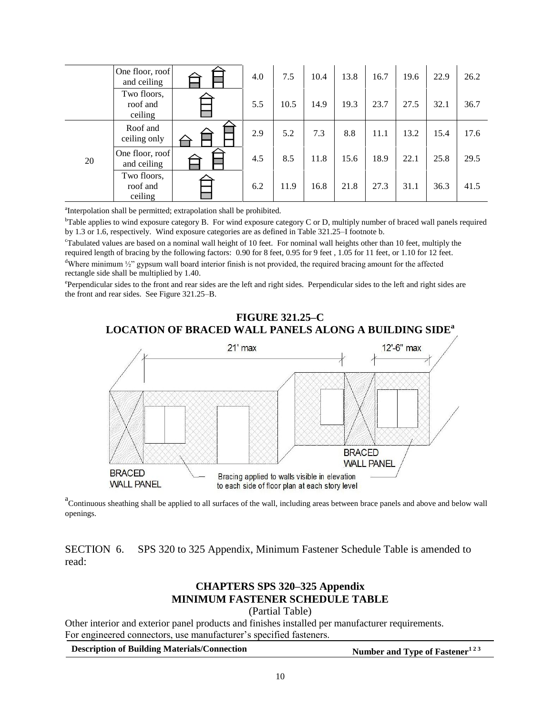|    | One floor, roof<br>and ceiling     | 4.0 | 7.5  | 10.4 | 13.8 | 16.7 | 19.6 | 22.9 | 26.2 |
|----|------------------------------------|-----|------|------|------|------|------|------|------|
|    | Two floors,<br>roof and<br>ceiling | 5.5 | 10.5 | 14.9 | 19.3 | 23.7 | 27.5 | 32.1 | 36.7 |
|    | Roof and<br>ceiling only           | 2.9 | 5.2  | 7.3  | 8.8  | 11.1 | 13.2 | 15.4 | 17.6 |
| 20 | One floor, roof<br>and ceiling     | 4.5 | 8.5  | 11.8 | 15.6 | 18.9 | 22.1 | 25.8 | 29.5 |
|    | Two floors,<br>roof and<br>ceiling | 6.2 | 11.9 | 16.8 | 21.8 | 27.3 | 31.1 | 36.3 | 41.5 |

<sup>a</sup>Interpolation shall be permitted; extrapolation shall be prohibited.

<sup>b</sup>Table applies to wind exposure category B. For wind exposure category C or D, multiply number of braced wall panels required by 1.3 or 1.6, respectively. Wind exposure categories are as defined in Table 321.25–I footnote b.

<sup>c</sup>Tabulated values are based on a nominal wall height of 10 feet. For nominal wall heights other than 10 feet, multiply the required length of bracing by the following factors: 0.90 for 8 feet, 0.95 for 9 feet , 1.05 for 11 feet, or 1.10 for 12 feet. <sup>d</sup>Where minimum  $\frac{1}{2}$  gypsum wall board interior finish is not provided, the required bracing amount for the affected rectangle side shall be multiplied by 1.40.

Perpendicular sides to the front and rear sides are the left and right sides. Perpendicular sides to the left and right sides are the front and rear sides. See Figure 321.25–B.

# **FIGURE 321.25–C LOCATION OF BRACED WALL PANELS ALONG A BUILDING SIDE<sup>a</sup>**



<sup>a</sup> Continuous sheathing shall be applied to all surfaces of the wall, including areas between brace panels and above and below wall openings.

SECTION 6. SPS 320 to 325 Appendix, Minimum Fastener Schedule Table is amended to read:

# **CHAPTERS SPS 320–325 Appendix MINIMUM FASTENER SCHEDULE TABLE**

(Partial Table)

Other interior and exterior panel products and finishes installed per manufacturer requirements. For engineered connectors, use manufacturer's specified fasteners.

**Description of Building Materials/Connection Number and Type of Fastener**<sup>123</sup>